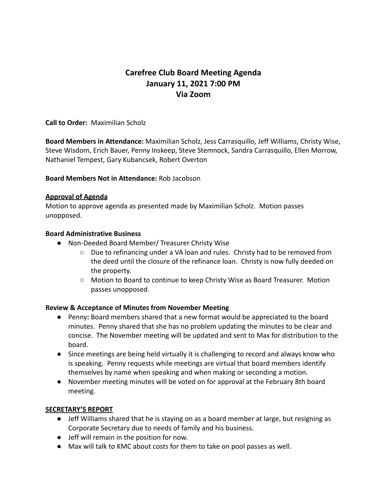# **Carefree Club Board Meeting Agenda January 11, 2021 7:00 PM Via Zoom**

**Call to Order:** Maximilian Scholz

**Board Members in Attendance:** Maximilian Scholz, Jess Carrasquillo, Jeff Williams, Christy Wise, Steve Wisdom, Erich Bauer, Penny Inskeep, Steve Stemnock, Sandra Carrasquillo, Ellen Morrow, Nathaniel Tempest, Gary Kubancsek, Robert Overton

### **Board Members Not in Attendance:** Rob Jacobson

### **Approval of Agenda**

Motion to approve agenda as presented made by Maximilian Scholz. Motion passes unopposed.

### **Board Administrative Business**

- Non-Deeded Board Member/ Treasurer Christy Wise
	- Due to refinancing under a VA loan and rules. Christy had to be removed from the deed until the closure of the refinance loan. Christy is now fully deeded on the property.
	- Motion to Board to continue to keep Christy Wise as Board Treasurer. Motion passes unopposed.

#### **Review & Acceptance of Minutes from November Meeting**

- **●** Penny**:** Board members shared that a new format would be appreciated to the board minutes. Penny shared that she has no problem updating the minutes to be clear and concise. The November meeting will be updated and sent to Max for distribution to the board.
- Since meetings are being held virtually it is challenging to record and always know who is speaking. Penny requests while meetings are virtual that board members identify themselves by name when speaking and when making or seconding a motion.
- November meeting minutes will be voted on for approval at the February 8th board meeting.

#### **SECRETARY'S REPORT**

- Jeff Williams shared that he is staying on as a board member at large, but resigning as Corporate Secretary due to needs of family and his business.
- Jeff will remain in the position for now.
- Max will talk to KMC about costs for them to take on pool passes as well.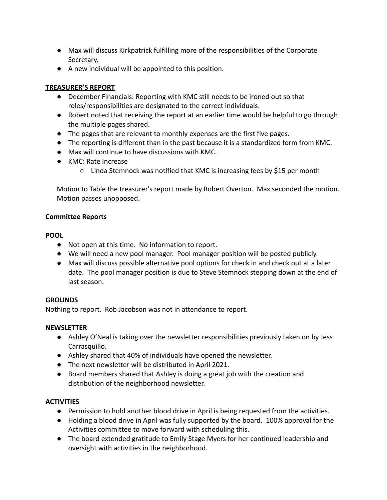- Max will discuss Kirkpatrick fulfilling more of the responsibilities of the Corporate Secretary.
- A new individual will be appointed to this position.

## **TREASURER'S REPORT**

- December Financials: Reporting with KMC still needs to be ironed out so that roles/responsibilities are designated to the correct individuals.
- Robert noted that receiving the report at an earlier time would be helpful to go through the multiple pages shared.
- The pages that are relevant to monthly expenses are the first five pages.
- The reporting is different than in the past because it is a standardized form from KMC.
- Max will continue to have discussions with KMC.
- KMC: Rate Increase
	- $\circ$  Linda Stemnock was notified that KMC is increasing fees by \$15 per month

Motion to Table the treasurer's report made by Robert Overton. Max seconded the motion. Motion passes unopposed.

## **Committee Reports**

## **POOL**

- Not open at this time. No information to report.
- We will need a new pool manager. Pool manager position will be posted publicly.
- Max will discuss possible alternative pool options for check in and check out at a later date. The pool manager position is due to Steve Stemnock stepping down at the end of last season.

## **GROUNDS**

Nothing to report. Rob Jacobson was not in attendance to report.

## **NEWSLETTER**

- Ashley O'Neal is taking over the newsletter responsibilities previously taken on by Jess Carrasquillo.
- Ashley shared that 40% of individuals have opened the newsletter.
- The next newsletter will be distributed in April 2021.
- Board members shared that Ashley is doing a great job with the creation and distribution of the neighborhood newsletter.

# **ACTIVITIES**

- Permission to hold another blood drive in April is being requested from the activities.
- Holding a blood drive in April was fully supported by the board. 100% approval for the Activities committee to move forward with scheduling this.
- The board extended gratitude to Emily Stage Myers for her continued leadership and oversight with activities in the neighborhood.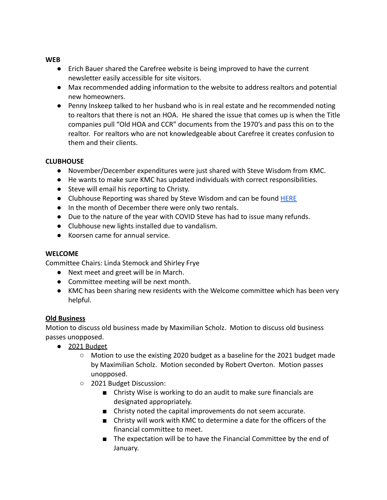#### **WEB**

- Erich Bauer shared the Carefree website is being improved to have the current newsletter easily accessible for site visitors.
- Max recommended adding information to the website to address realtors and potential new homeowners.
- Penny Inskeep talked to her husband who is in real estate and he recommended noting to realtors that there is not an HOA. He shared the issue that comes up is when the Title companies pull "Old HOA and CCR" documents from the 1970's and pass this on to the realtor. For realtors who are not knowledgeable about Carefree it creates confusion to them and their clients.

#### **CLUBHOUSE**

- November/December expenditures were just shared with Steve Wisdom from KMC.
- He wants to make sure KMC has updated individuals with correct responsibilities.
- Steve will email his reporting to Christy.
- Clubhouse Reporting was shared by Steve Wisdom and can be found [HERE](https://docs.google.com/spreadsheets/d/1azKy7frFlUU0GCAvF-N5o3F6kyRXAsAu/edit#gid=85135688)
- In the month of December there were only two rentals.
- Due to the nature of the year with COVID Steve has had to issue many refunds.
- Clubhouse new lights installed due to vandalism.
- Koorsen came for annual service.

## **WELCOME**

Committee Chairs: Linda Stemock and Shirley Frye

- Next meet and greet will be in March.
- Committee meeting will be next month.
- KMC has been sharing new residents with the Welcome committee which has been very helpful.

## **Old Business**

Motion to discuss old business made by Maximilian Scholz. Motion to discuss old business passes unopposed.

- 2021 Budget
	- Motion to use the existing 2020 budget as a baseline for the 2021 budget made by Maximilian Scholz. Motion seconded by Robert Overton. Motion passes unopposed.
	- 2021 Budget Discussion:
		- Christy Wise is working to do an audit to make sure financials are designated appropriately.
		- Christy noted the capital improvements do not seem accurate.
		- Christy will work with KMC to determine a date for the officers of the financial committee to meet.
		- The expectation will be to have the Financial Committee by the end of January.